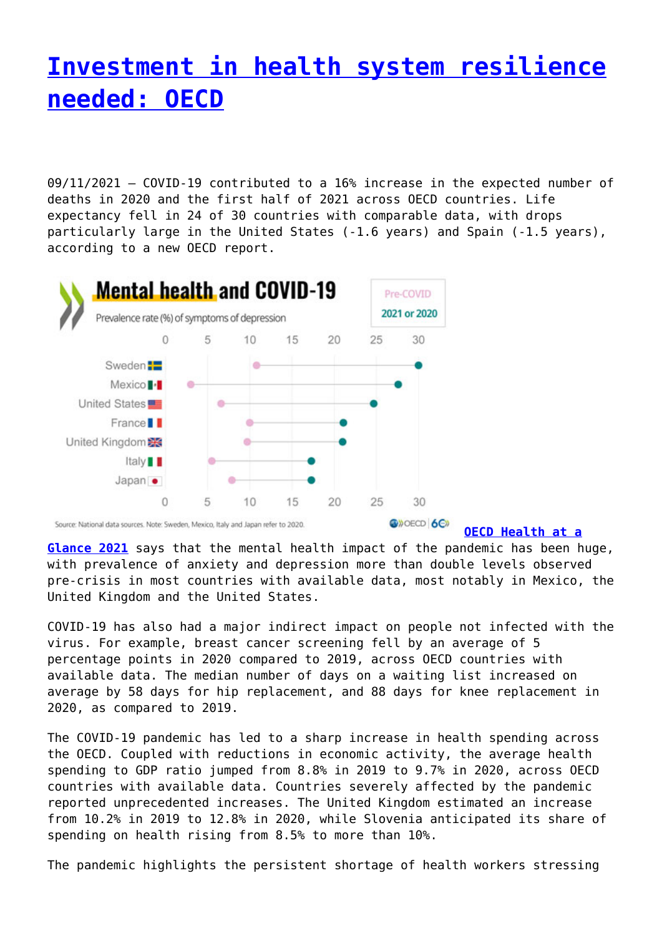## **[Investment in health system resilience](http://www.government-world.com/investment-in-health-system-resilience-needed-oecd/) [needed: OECD](http://www.government-world.com/investment-in-health-system-resilience-needed-oecd/)**

09/11/2021 – COVID‑19 contributed to a 16% increase in the expected number of deaths in 2020 and the first half of 2021 across OECD countries. Life expectancy fell in 24 of 30 countries with comparable data, with drops particularly large in the United States (-1.6 years) and Spain (-1.5 years), according to a new OECD report.



**[OECD Health at a](https://www.oecd.org/health/health-at-a-glance-19991312.htm)**

**[Glance 2021](https://www.oecd.org/health/health-at-a-glance-19991312.htm)** says that the mental health impact of the pandemic has been huge, with prevalence of anxiety and depression more than double levels observed pre-crisis in most countries with available data, most notably in Mexico, the United Kingdom and the United States.

COVID‑19 has also had a major indirect impact on people not infected with the virus. For example, breast cancer screening fell by an average of 5 percentage points in 2020 compared to 2019, across OECD countries with available data. The median number of days on a waiting list increased on average by 58 days for hip replacement, and 88 days for knee replacement in 2020, as compared to 2019.

The COVID-19 pandemic has led to a sharp increase in health spending across the OECD. Coupled with reductions in economic activity, the average health spending to GDP ratio jumped from 8.8% in 2019 to 9.7% in 2020, across OECD countries with available data. Countries severely affected by the pandemic reported unprecedented increases. The United Kingdom estimated an increase from 10.2% in 2019 to 12.8% in 2020, while Slovenia anticipated its share of spending on health rising from 8.5% to more than 10%.

The pandemic highlights the persistent shortage of health workers stressing